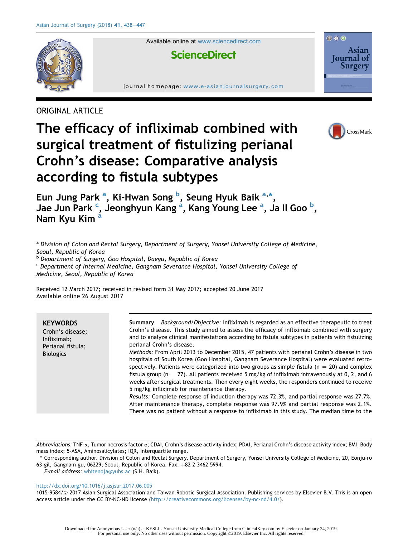

**ScienceDirect** 

Available online at [www.sciencedirect.com](www.sciencedirect.com/science/journal/10159584)

 $\odot$   $\odot$   $\odot$ 

Asian Journal of **Surgery** 

CrossMark

journal homepage: [www.e-asianjournalsurgery.com](http://www.e-asianjournalsurgery.com)

ORIGINAL ARTICLE

# The efficacy of infliximab combined with surgical treatment of fistulizing perianal Crohn's disease: Comparative analysis according to fistula subtypes

Eun Jung Park <sup>a</sup>, Ki-Hwan Song <sup>b</sup>, Seung Hyuk Baik <sup>a,\*</sup>, Jae Jun Park <sup>c</sup>, Jeonghyun Kang <sup>a</sup>, Kang Young Lee <sup>a</sup>, Ja Il Goo <sup>b</sup>, Nam Kyu Kim<sup>a</sup>

a Division of Colon and Rectal Surgery, Department of Surgery, Yonsei University College of Medicine, Seoul, Republic of Korea

<sup>b</sup> Department of Surgery, Goo Hospital, Daegu, Republic of Korea

<sup>c</sup> Department of Internal Medicine, Gangnam Severance Hospital, Yonsei University College of Medicine, Seoul, Republic of Korea

Received 12 March 2017; received in revised form 31 May 2017; accepted 20 June 2017 Available online 26 August 2017

**KEYWORDS** Crohn's disease; Infliximab; Perianal fistula; Biologics perianal Crohn's disease.

Summary Background/Objective: Infliximab is regarded as an effective therapeutic to treat Crohn's disease. This study aimed to assess the efficacy of infliximab combined with surgery and to analyze clinical manifestations according to fistula subtypes in patients with fistulizing Methods: From April 2013 to December 2015, 47 patients with perianal Crohn's disease in two

hospitals of South Korea (Goo Hospital, Gangnam Severance Hospital) were evaluated retrospectively. Patients were categorized into two groups as simple fistula ( $n = 20$ ) and complex fistula group ( $n = 27$ ). All patients received 5 mg/kg of infliximab intravenously at 0, 2, and 6 weeks after surgical treatments. Then every eight weeks, the responders continued to receive 5 mg/kg infliximab for maintenance therapy.

Results: Complete response of induction therapy was 72.3%, and partial response was 27.7%. After maintenance therapy, complete response was 97.9% and partial response was 2.1%. There was no patient without a response to infliximab in this study. The median time to the

Abbreviations: TNF- $\alpha$ , Tumor necrosis factor  $\alpha$ ; CDAI, Crohn's disease activity index; PDAI, Perianal Crohn's disease activity index; BMI, Body mass index; 5-ASA, Aminosalicylates; IQR, Interquartile range.

\* Corresponding author. Division of Colon and Rectal Surgery, Department of Surgery, Yonsei University College of Medicine, 20, Eonju-ro 63-gil, Gangnam-gu, 06229, Seoul, Republic of Korea. Fax:  $+82$  2 3462 5994.

E-mail address: [whitenoja@yuhs.ac](mailto:whitenoja@yuhs.ac) (S.H. Baik).

#### <http://dx.doi.org/10.1016/j.asjsur.2017.06.005>

1015-9584/© 2017 Asian Surgical Association and Taiwan Robotic Surgical Association. Publishing services by Elsevier B.V. This is an open access article under the CC BY-NC-ND license [\(http://creativecommons.org/licenses/by-nc-nd/4.0/\)](http://creativecommons.org/licenses/by-nc-nd/4.0/).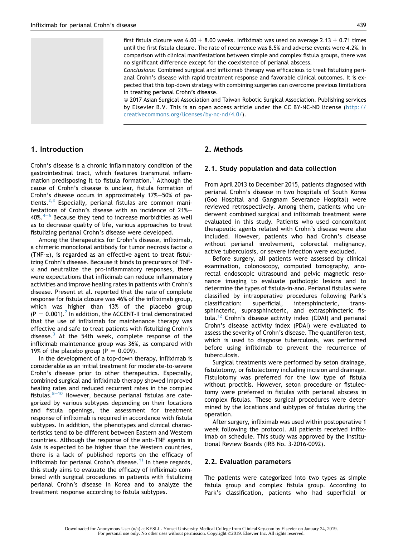first fistula closure was 6.00  $\pm$  8.00 weeks. Infliximab was used on average 2.13  $\pm$  0.71 times until the first fistula closure. The rate of recurrence was 8.5% and adverse events were 4.2%. In comparison with clinical manifestations between simple and complex fistula groups, there was no significant difference except for the coexistence of perianal abscess.

Conclusions: Combined surgical and infliximab therapy was efficacious to treat fistulizing perianal Crohn's disease with rapid treatment response and favorable clinical outcomes. It is expected that this top-down strategy with combining surgeries can overcome previous limitations in treating perianal Crohn's disease.

ª 2017 Asian Surgical Association and Taiwan Robotic Surgical Association. Publishing services by Elsevier B.V. This is an open access article under the CC BY-NC-ND license [\(http://](http://creativecommons.org/licenses/by-nc-nd/4.0/) [creativecommons.org/licenses/by-nc-nd/4.0/\)](http://creativecommons.org/licenses/by-nc-nd/4.0/).

## 1. Introduction

Crohn's disease is a chronic inflammatory condition of the gastrointestinal tract, which features transmural inflam-mation predisposing it to fistula formation.<sup>[1](#page-8-0)</sup> Although the cause of Crohn's disease is unclear, fistula formation of Crohn's disease occurs in approximately  $17\% - 50\%$  of patients. $2,3$  Especially, perianal fistulas are common manifestations of Crohn's disease with an incidence of  $21\%$ - $40\%$  $40\%$ .<sup>4-[6](#page-8-0)</sup> Because they tend to increase morbidities as well as to decrease quality of life, various approaches to treat fistulizing perianal Crohn's disease were developed.

Among the therapeutics for Crohn's disease, infliximab, a chimeric monoclonal antibody for tumor necrosis factor  $\alpha$ (TNF- $\alpha$ ), is regarded as an effective agent to treat fistulizing Crohn's disease. Because it binds to precursors of TNF- $\alpha$  and neutralize the pro-inflammatory responses, there were expectations that infliximab can reduce inflammatory activities and improve healing rates in patients with Crohn's disease. Present et al. reported that the rate of complete response for fistula closure was 46% of the infliximab group, which was higher than 13% of the placebo group  $(P = 0.001).$ <sup>[7](#page-8-0)</sup> In addition, the ACCENT-II trial demonstrated that the use of infliximab for maintenance therapy was effective and safe to treat patients with fistulizing Crohn's disease.<sup>[3](#page-8-0)</sup> At the 54th week, complete response of the infliximab maintenance group was 36%, as compared with 19% of the placebo group ( $P = 0.009$ ).

In the development of a top-down therapy, infliximab is considerable as an initial treatment for moderate-to-severe Crohn's disease prior to other therapeutics. Especially, combined surgical and infliximab therapy showed improved healing rates and reduced recurrent rates in the complex fistulas. $8-10$  $8-10$  $8-10$  However, because perianal fistulas are categorized by various subtypes depending on their locations and fistula openings, the assessment for treatment response of infliximab is required in accordance with fistula subtypes. In addition, the phenotypes and clinical characteristics tend to be different between Eastern and Western countries. Although the response of the anti-TNF agents in Asia is expected to be higher than the Western countries, there is a lack of published reports on the efficacy of infliximab for perianal Crohn's disease.<sup>[11](#page-8-0)</sup> In these regards, this study aims to evaluate the efficacy of infliximab combined with surgical procedures in patients with fistulizing perianal Crohn's disease in Korea and to analyze the treatment response according to fistula subtypes.

# 2. Methods

#### 2.1. Study population and data collection

From April 2013 to December 2015, patients diagnosed with perianal Crohn's disease in two hospitals of South Korea (Goo Hospital and Gangnam Severance Hospital) were reviewed retrospectively. Among them, patients who underwent combined surgical and infliximab treatment were evaluated in this study. Patients who used concomitant therapeutic agents related with Crohn's disease were also included. However, patients who had Crohn's disease without perianal involvement, colorectal malignancy, active tuberculosis, or severe infection were excluded.

Before surgery, all patients were assessed by clinical examination, colonoscopy, computed tomography, anorectal endoscopic ultrasound and pelvic magnetic resonance imaging to evaluate pathologic lesions and to determine the types of fistula-in-ano. Perianal fistulas were classified by intraoperative procedures following Park's classification: superficial, intersphincteric, transsphincteric, suprasphincteric, and extrasphincteric fis-tula.<sup>[12](#page-9-0)</sup> Crohn's disease activity index (CDAI) and perianal Crohn's disease activity index (PDAI) were evaluated to assess the severity of Crohn's disease. The quantiferon test, which is used to diagnose tuberculosis, was performed before using infliximab to prevent the recurrence of tuberculosis.

Surgical treatments were performed by seton drainage, fistulotomy, or fistulectomy including incision and drainage. Fistulotomy was preferred for the low type of fistula without proctitis. However, seton procedure or fistulectomy were preferred in fistulas with perianal abscess in complex fistulas. These surgical procedures were determined by the locations and subtypes of fistulas during the operation.

After surgery, infliximab was used within postoperative 1 week following the protocol. All patients received infliximab on schedule. This study was approved by the Institutional Review Boards (IRB No. 3-2016-0092).

#### 2.2. Evaluation parameters

The patients were categorized into two types as simple fistula group and complex fistula group. According to Park's classification, patients who had superficial or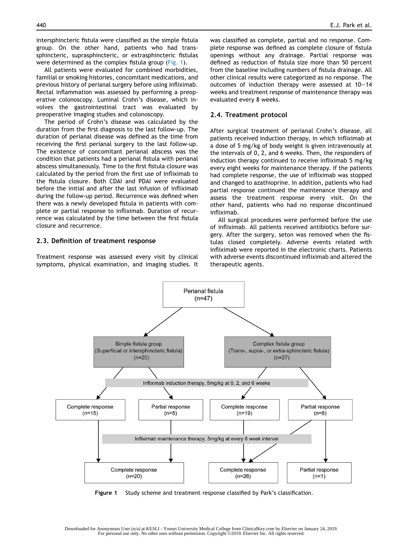<span id="page-2-0"></span>intersphincteric fistula were classified as the simple fistula group. On the other hand, patients who had transsphincteric, suprasphincteric, or extrasphincteric fistulas were determined as the complex fistula group (Fig. 1).

All patients were evaluated for combined morbidities, familial or smoking histories, concomitant medications, and previous history of perianal surgery before using infliximab. Rectal inflammation was assessed by performing a preoperative colonoscopy. Luminal Crohn's disease, which involves the gastrointestinal tract was evaluated by preoperative imaging studies and colonoscopy.

The period of Crohn's disease was calculated by the duration from the first diagnosis to the last follow-up. The duration of perianal disease was defined as the time from receiving the first perianal surgery to the last follow-up. The existence of concomitant perianal abscess was the condition that patients had a perianal fistula with perianal abscess simultaneously. Time to the first fistula closure was calculated by the period from the first use of infliximab to the fistula closure. Both CDAI and PDAI were evaluated before the initial and after the last infusion of infliximab during the follow-up period. Recurrence was defined when there was a newly developed fistula in patients with complete or partial response to infliximab. Duration of recurrence was calculated by the time between the first fistula closure and recurrence.

#### 2.3. Definition of treatment response

Treatment response was assessed every visit by clinical symptoms, physical examination, and imaging studies. It was classified as complete, partial and no response. Complete response was defined as complete closure of fistula openings without any drainage. Partial response was defined as reduction of fistula size more than 50 percent from the baseline including numbers of fistula drainage. All other clinical results were categorized as no response. The outcomes of induction therapy were assessed at  $10-14$ weeks and treatment response of maintenance therapy was evaluated every 8 weeks.

## 2.4. Treatment protocol

After surgical treatment of perianal Crohn's disease, all patients received induction therapy, in which infliximab at a dose of 5 mg/kg of body weight is given intravenously at the intervals of 0, 2, and 6 weeks. Then, the responders of induction therapy continued to receive infliximab 5 mg/kg every eight weeks for maintenance therapy. If the patients had complete response, the use of infliximab was stopped and changed to azathioprine. In addition, patients who had partial response continued the maintenance therapy and assess the treatment response every visit. On the other hand, patients who had no response discontinued infliximab.

All surgical procedures were performed before the use of infliximab. All patients received antibiotics before surgery. After the surgery, seton was removed when the fistulas closed completely. Adverse events related with infliximab were reported in the electronic charts. Patients with adverse events discontinued infliximab and altered the therapeutic agents.



Figure 1 Study scheme and treatment response classified by Park's classification.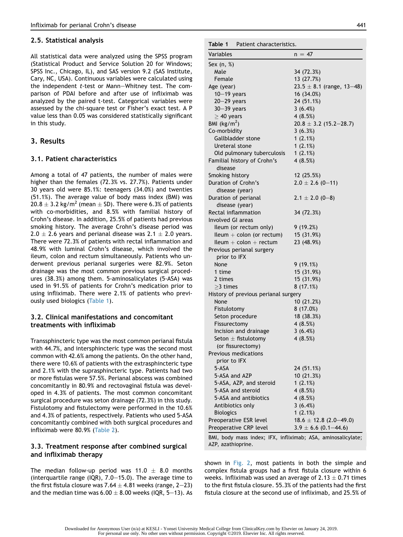## 2.5. Statistical analysis

All statistical data were analyzed using the SPSS program (Statistical Product and Service Solution 20 for Windows; SPSS Inc., Chicago, IL), and SAS version 9.2 (SAS Institute, Cary, NC, USA). Continuous variables were calculated using the independent  $t$ -test or Mann-Whitney test. The comparison of PDAI before and after use of infliximab was analyzed by the paired t-test. Categorical variables were assessed by the chi-square test or Fisher's exact test. A P value less than 0.05 was considered statistically significant in this study.

# 3. Results

#### 3.1. Patient characteristics

Among a total of 47 patients, the number of males were higher than the females (72.3% vs. 27.7%). Patients under 30 years old were 85.1%: teenagers (34.0%) and twenties (51.1%). The average value of body mass index (BMI) was  $20.8 \pm 3.2$  kg/m<sup>2</sup> (mean  $\pm$  SD). There were 6.3% of patients with co-morbidities, and 8.5% with familial history of Crohn's disease. In addition, 25.5% of patients had previous smoking history. The average Crohn's disease period was  $2.0 \pm 2.6$  years and perianal disease was 2.1  $\pm$  2.0 years.<br>— There were 72.3% of patients with rectal inflammation and 48.9% with luminal Crohn's disease, which involved the ileum, colon and rectum simultaneously. Patients who underwent previous perianal surgeries were 82.9%. Seton drainage was the most common previous surgical procedures (38.3%) among them. 5-aminosalicylates (5-ASA) was used in 91.5% of patients for Crohn's medication prior to using infliximab. There were 2.1% of patients who previously used biologics (Table 1).

# 3.2. Clinical manifestations and concomitant treatments with infliximab

Transsphincteric type was the most common perianal fistula with 44.7%, and intersphincteric type was the second most common with 42.6% among the patients. On the other hand, there were 10.6% of patients with the extrasphincteric type and 2.1% with the suprasphincteric type. Patients had two or more fistulas were 57.5%. Perianal abscess was combined concomitantly in 80.9% and rectovaginal fistula was developed in 4.3% of patients. The most common concomitant surgical procedure was seton drainage (72.3%) in this study. Fistulotomy and fistulectomy were performed in the 10.6% and 4.3% of patients, respectively. Patients who used 5-ASA concomitantly combined with both surgical procedures and infliximab were 80.9% [\(Table 2\)](#page-4-0).

## 3.3. Treatment response after combined surgical and infliximab therapy

The median follow-up period was  $11.0 \pm 8.0$  months (interquartile range (IQR),  $7.0-15.0$ ). The average time to the first fistula closure was 7.64  $\pm$  4.81 weeks (range, 2–23) and the median time was  $6.00 \pm 8.00$  weeks (IQR, 5 $-13$ ). As

| Patient characteristics.<br>Table 1  |                               |  |  |  |  |  |  |  |
|--------------------------------------|-------------------------------|--|--|--|--|--|--|--|
| Variables                            | $n = 47$                      |  |  |  |  |  |  |  |
| Sex $(n, %)$                         |                               |  |  |  |  |  |  |  |
| Male                                 | 34 (72.3%)                    |  |  |  |  |  |  |  |
| Female                               | 13 (27.7%)                    |  |  |  |  |  |  |  |
| Age (year)                           | $23.5 \pm 8.1$ (range, 13-48) |  |  |  |  |  |  |  |
| $10-19$ years                        | 16 (34.0%)                    |  |  |  |  |  |  |  |
| $20 - 29$ years                      | 24 (51.1%)                    |  |  |  |  |  |  |  |
| $30 - 39$ years                      | 3(6.4%)                       |  |  |  |  |  |  |  |
| $\geq$ 40 years                      | 4(8.5%)                       |  |  |  |  |  |  |  |
| BMI ( $\text{kg/m}^2$ )              | $20.8 \pm 3.2$ (15.2–28.7)    |  |  |  |  |  |  |  |
| Co-morbidity                         | 3(6.3%)                       |  |  |  |  |  |  |  |
| Gallbladder stone                    | 1(2.1%)                       |  |  |  |  |  |  |  |
| Ureteral stone                       | 1(2.1%)                       |  |  |  |  |  |  |  |
| Old pulmonary tuberculosis           | 1(2.1%)                       |  |  |  |  |  |  |  |
| Familial history of Crohn's          | 4(8.5%)                       |  |  |  |  |  |  |  |
| disease                              |                               |  |  |  |  |  |  |  |
| Smoking history                      | 12 (25.5%)                    |  |  |  |  |  |  |  |
| Duration of Crohn's                  | $2.0 \pm 2.6$ (0-11)          |  |  |  |  |  |  |  |
| disease (year)                       |                               |  |  |  |  |  |  |  |
| Duration of perianal                 | $2.1 \pm 2.0$ (0-8)           |  |  |  |  |  |  |  |
| disease (year)                       |                               |  |  |  |  |  |  |  |
| Rectal inflammation                  | 34 (72.3%)                    |  |  |  |  |  |  |  |
| Involved GI areas                    |                               |  |  |  |  |  |  |  |
| Ileum (or rectum only)               | 9(19.2%)                      |  |  |  |  |  |  |  |
| Ileum $+$ colon (or rectum)          | 15 (31.9%)                    |  |  |  |  |  |  |  |
| $Ileum + colon + rectum$             | 23 (48.9%)                    |  |  |  |  |  |  |  |
| Previous perianal surgery            |                               |  |  |  |  |  |  |  |
| prior to IFX                         |                               |  |  |  |  |  |  |  |
| None                                 | 9 (19.1%)                     |  |  |  |  |  |  |  |
| 1 time                               | 15 (31.9%)                    |  |  |  |  |  |  |  |
| 2 times                              | 15 (31.9%)                    |  |  |  |  |  |  |  |
| $>$ 3 times                          | 8(17.1%)                      |  |  |  |  |  |  |  |
| History of previous perianal surgery |                               |  |  |  |  |  |  |  |
| None                                 | 10 (21.2%)                    |  |  |  |  |  |  |  |
| Fistulotomy                          | 8 (17.0%)                     |  |  |  |  |  |  |  |
| Seton procedure                      | 18 (38.3%)                    |  |  |  |  |  |  |  |
| Fissurectomy                         | 4(8.5%)                       |  |  |  |  |  |  |  |
| Incision and drainage                | 3(6.4%)                       |  |  |  |  |  |  |  |
| Seton $\pm$ fistulotomy              | 4(8.5%)                       |  |  |  |  |  |  |  |
| (or fissurectomy)                    |                               |  |  |  |  |  |  |  |
| Previous medications                 |                               |  |  |  |  |  |  |  |
| prior to IFX                         |                               |  |  |  |  |  |  |  |
| 5-ASA                                | 24 (51.1%)                    |  |  |  |  |  |  |  |
| 5-ASA and AZP                        | 10 (21.3%)                    |  |  |  |  |  |  |  |
| 5-ASA, AZP, and steroid              | 1(2.1%)                       |  |  |  |  |  |  |  |
| 5-ASA and steroid                    |                               |  |  |  |  |  |  |  |
| 5-ASA and antibiotics                | 4(8.5%)<br>4(8.5%)            |  |  |  |  |  |  |  |
| Antibiotics only                     | 3(6.4%)                       |  |  |  |  |  |  |  |
| <b>Biologics</b>                     | 1(2.1%)                       |  |  |  |  |  |  |  |
| Preoperative ESR level               | $18.6 \pm 12.8$ (2.0–49.0)    |  |  |  |  |  |  |  |
| Preoperative CRP level               | $3.9 \pm 6.6$ (0.1–44.6)      |  |  |  |  |  |  |  |
|                                      |                               |  |  |  |  |  |  |  |

BMI, body mass index; IFX, infliximab; ASA, aminosalicylate; AZP, azathioprine.

shown in [Fig. 2,](#page-4-0) most patients in both the simple and complex fistula groups had a first fistula closure within 6 weeks. Infliximab was used an average of 2.13  $\pm$  0.71 times to the first fistula closure. 55.3% of the patients had the first fistula closure at the second use of infliximab, and 25.5% of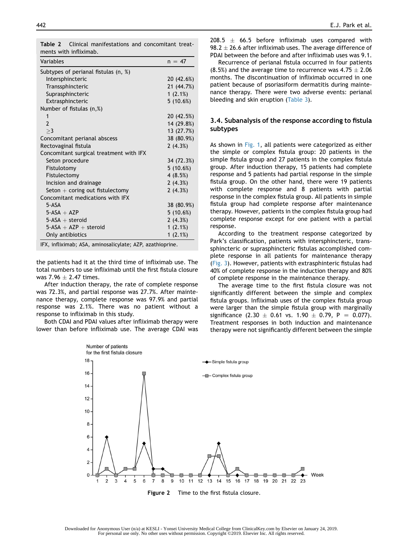| Variables                               | $n = 47$   |
|-----------------------------------------|------------|
| Subtypes of perianal fistulas (n, %)    |            |
| Intersphincteric                        | 20 (42.6%) |
| Transsphincteric                        | 21 (44.7%) |
| Suprasphincteric                        | 1(2.1%)    |
| Extrasphincteric                        | 5(10.6%)   |
| Number of fistulas (n,%)                |            |
| 1                                       | 20 (42.5%) |
| $\overline{\phantom{a}}$                | 14 (29.8%) |
| >3                                      | 13 (27.7%) |
| Concomitant perianal abscess            | 38 (80.9%) |
| Rectovaginal fistula                    | 2(4.3%)    |
| Concomitant surgical treatment with IFX |            |
| Seton procedure                         | 34 (72.3%) |
| Fistulotomy                             | 5(10.6%)   |
| Fistulectomy                            | 4(8.5%)    |
| Incision and drainage                   | 2(4.3%)    |
| Seton $+$ coring out fistulectomy       | 2(4.3%)    |
| Concomitant medications with IFX        |            |
| $5 - ASA$                               | 38 (80.9%) |
| $5-ASA + AZP$                           | 5(10.6%)   |
| $5-ASA + steroid$                       | 2(4.3%)    |
| $5-ASA + AZP + steroid$                 | 1(2.1%)    |
| Only antibiotics                        | 1(2.1%)    |

<span id="page-4-0"></span>Table 2 Clinical manifestations and concomitant treatments with infliximab.

IFX, infliximab; ASA, aminosalicylate; AZP, azathioprine.

the patients had it at the third time of infliximab use. The total numbers to use infliximab until the first fistula closure was 7.96  $\pm$  2.47 times.

After induction therapy, the rate of complete response was 72.3%, and partial response was 27.7%. After maintenance therapy, complete response was 97.9% and partial response was 2.1%. There was no patient without a response to infliximab in this study.

Both CDAI and PDAI values after infliximab therapy were lower than before infliximab use. The average CDAI was

 $208.5 \pm 66.5$  before infliximab uses compared with  $98.2 \pm 26.6$  after infliximab uses. The average difference of PDAI between the before and after infliximab uses was 9.1.

Recurrence of perianal fistula occurred in four patients (8.5%) and the average time to recurrence was  $4.75 \pm 2.06$ months. The discontinuation of infliximab occurred in one patient because of psoriasiform dermatitis during maintenance therapy. There were two adverse events: perianal bleeding and skin eruption [\(Table 3](#page-5-0)).

#### 3.4. Subanalysis of the response according to fistula subtypes

As shown in [Fig. 1,](#page-2-0) all patients were categorized as either the simple or complex fistula group: 20 patients in the simple fistula group and 27 patients in the complex fistula group. After induction therapy, 15 patients had complete response and 5 patients had partial response in the simple fistula group. On the other hand, there were 19 patients with complete response and 8 patients with partial response in the complex fistula group. All patients in simple fistula group had complete response after maintenance therapy. However, patients in the complex fistula group had complete response except for one patient with a partial response.

According to the treatment response categorized by Park's classification, patients with intersphincteric, transsphincteric or suprasphincteric fistulas accomplished complete response in all patients for maintenance therapy [\(Fig. 3](#page-6-0)). However, patients with extrasphinteric fistulas had 40% of complete response in the induction therapy and 80% of complete response in the maintenance therapy.

The average time to the first fistula closure was not significantly different between the simple and complex fistula groups. Infliximab uses of the complex fistula group were larger than the simple fistula group with marginally significance (2.30  $\pm$  0.61 vs. 1.90  $\pm$  0.79, P = 0.077). Treatment responses in both induction and maintenance therapy were not significantly different between the simple



Downloaded for Anonymous User (n/a) at KESLI - Yonsei University Medical College from ClinicalKey.com by Elsevier on January 24, 2019. For personal use only. No other uses without permission. Copyright ©2019. Elsevier Inc. All rights reserved.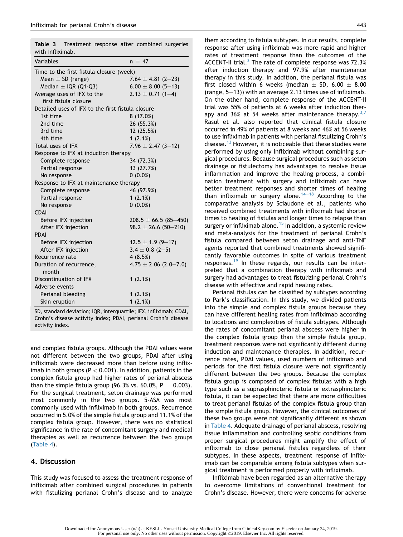<span id="page-5-0"></span>Table 3 Treatment response after combined surgeries with infliximab.

| Variables                                         | $n = 47$                    |
|---------------------------------------------------|-----------------------------|
| Time to the first fistula closure (week)          |                             |
| Mean $\pm$ SD (range)                             | 7.64 $\pm$ 4.81 (2-23)      |
| Median $\pm$ IQR (Q1-Q3)                          | $6.00 \pm 8.00$ (5-13)      |
| Average uses of IFX to the                        | $2.13 \pm 0.71$ (1-4)       |
| first fistula closure                             |                             |
| Detailed uses of IFX to the first fistula closure |                             |
| 1st time                                          | 8(17.0%)                    |
| 2nd time                                          | 26 (55.3%)                  |
| 3rd time                                          | 12 (25.5%)                  |
| 4th time                                          | 1(2.1%)                     |
| Total uses of IFX                                 | $7.96 \pm 2.47$ (3-12)      |
| Response to IFX at induction therapy              |                             |
| Complete response                                 | 34 (72.3%)                  |
| Partial response                                  | 13 (27.7%)                  |
| No response                                       | $0(0.0\%)$                  |
| Response to IFX at maintenance therapy            |                             |
| Complete response                                 | 46 (97.9%)                  |
| Partial response                                  | 1(2.1%)                     |
| No response                                       | $0(0.0\%)$                  |
| <b>CDAI</b>                                       |                             |
| Before IFX injection                              | $208.5 \pm 66.5 (85 - 450)$ |
| After IFX injection                               | $98.2 \pm 26.6$ (50-210)    |
| <b>PDAI</b>                                       |                             |
| Before IFX injection                              | $12.5 \pm 1.9$ (9-17)       |
| After IFX injection                               | $3.4 \pm 0.8$ (2-5)         |
| Recurrence rate                                   | 4(8.5%)                     |
| Duration of recurrence,                           | $4.75 \pm 2.06$ (2.0-7.0)   |
| month                                             |                             |
| Discontinuation of IFX                            | 1(2.1%)                     |
| Adverse events                                    |                             |
| Perianal bleeding                                 | 1(2.1%)                     |
| Skin eruption                                     | 1(2.1%)                     |

SD, standard deviation; IQR, interquartile; IFX, infliximab; CDAI, Crohn's disease activity index; PDAI, perianal Crohn's disease activity index.

and complex fistula groups. Although the PDAI values were not different between the two groups, PDAI after using infliximab were decreased more than before using infliximab in both groups ( $P < 0.001$ ). In addition, patients in the complex fistula group had higher rates of perianal abscess than the simple fistula group (96.3% vs. 60.0%,  $P = 0.003$ ). For the surgical treatment, seton drainage was performed most commonly in the two groups. 5-ASA was most commonly used with infliximab in both groups. Recurrence occurred in 5.0% of the simple fistula group and 11.1% of the complex fistula group. However, there was no statistical significance in the rate of concomitant surgery and medical therapies as well as recurrence between the two groups ([Table 4](#page-6-0)).

# 4. Discussion

This study was focused to assess the treatment response of infliximab after combined surgical procedures in patients with fistulizing perianal Crohn's disease and to analyze them according to fistula subtypes. In our results, complete response after using infliximab was more rapid and higher rates of treatment response than the outcomes of the ACCENT-II trial.<sup>3</sup> The rate of complete response was  $72.3%$  $72.3%$  $72.3%$ after induction therapy and 97.9% after maintenance therapy in this study. In addition, the perianal fistula was first closed within 6 weeks (median  $\pm$  SD, 6.00  $\pm$  8.00 (range,  $5-13$ )) with an average 2.13 times use of infliximab. On the other hand, complete response of the ACCENT-II trial was 55% of patients at 6 weeks after induction therapy and 36% at 54 weeks after maintenance therapy.  $3,7$ Rasul et al. also reported that clinical fistula closure occurred in 49% of patients at 8 weeks and 46% at 56 weeks to use infliximab in patients with perianal fistulizing Crohn's disease.<sup>[13](#page-9-0)</sup> However, it is noticeable that these studies were performed by using only infliximab without combining surgical procedures. Because surgical procedures such as seton drainage or fistulectomy has advantages to resolve tissue inflammation and improve the healing process, a combination treatment with surgery and infliximab can have better treatment responses and shorter times of healing than infliximab or surgery alone.<sup>[14](#page-9-0)-[18](#page-9-0)</sup> According to the comparative analysis by Sciaudone et al., patients who received combined treatments with infliximab had shorter times to healing of fistulas and longer times to relapse than surgery or infliximab alone.<sup>[15](#page-9-0)</sup> In addition, a systemic review and meta-analysis for the treatment of perianal Crohn's fistula compared between seton drainage and anti-TNF agents reported that combined treatments showed significantly favorable outcomes in spite of various treatment responses.<sup>[19](#page-9-0)</sup> In these regards, our results can be interpreted that a combination therapy with infliximab and surgery had advantages to treat fistulizing perianal Crohn's disease with effective and rapid healing rates.

Perianal fistulas can be classified by subtypes according to Park's classification. In this study, we divided patients into the simple and complex fistula groups because they can have different healing rates from infliximab according to locations and complexities of fistula subtypes. Although the rates of concomitant perianal abscess were higher in the complex fistula group than the simple fistula group, treatment responses were not significantly different during induction and maintenance therapies. In addition, recurrence rates, PDAI values, used numbers of infliximab and periods for the first fistula closure were not significantly different between the two groups. Because the complex fistula group is composed of complex fistulas with a high type such as a suprasphincteric fistula or extrasphincteric fistula, it can be expected that there are more difficulties to treat perianal fistulas of the complex fistula group than the simple fistula group. However, the clinical outcomes of these two groups were not significantly different as shown in [Table 4](#page-6-0). Adequate drainage of perianal abscess, resolving tissue inflammation and controlling septic conditions from proper surgical procedures might amplify the effect of infliximab to close perianal fistulas regardless of their subtypes. In these aspects, treatment response of infliximab can be comparable among fistula subtypes when surgical treatment is performed properly with infliximab.

Infliximab have been regarded as an alternative therapy to overcome limitations of conventional treatment for Crohn's disease. However, there were concerns for adverse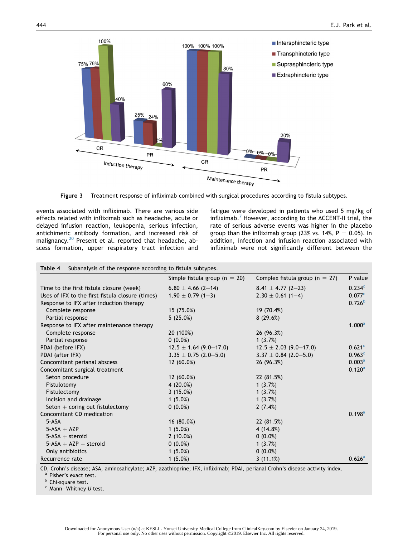<span id="page-6-0"></span>

Figure 3 Treatment response of infliximab combined with surgical procedures according to fistula subtypes.

events associated with infliximab. There are various side effects related with infliximab such as headache, acute or delayed infusion reaction, leukopenia, serious infection, antichimeric antibody formation, and increased risk of malignancy.<sup>20</sup> Present et al. reported that headache, abscess formation, upper respiratory tract infection and fatigue were developed in patients who used 5 mg/kg of infliximab.[7](#page-8-0) However, according to the ACCENT-II trial, the rate of serious adverse events was higher in the placebo group than the infliximab group (23% vs. 14%,  $P = 0.05$ ). In addition, infection and infusion reaction associated with infliximab were not significantly different between the

|                                                  | Simple fistula group ( $n = 20$ ) | Complex fistula group ( $n = 27$ ) | P value            |
|--------------------------------------------------|-----------------------------------|------------------------------------|--------------------|
| Time to the first fistula closure (week)         | $6.80 \pm 4.66$ (2-14)            | $8.41 \pm 4.77$ (2-23)             | 0.234 <sup>c</sup> |
| Uses of IFX to the first fistula closure (times) | $1.90 \pm 0.79$ (1-3)             | $2.30 \pm 0.61$ (1-4)              | $0.077^{\circ}$    |
| Response to IFX after induction therapy          |                                   |                                    | 0.726 <sup>b</sup> |
| Complete response                                | 15 (75.0%)                        | 19 (70.4%)                         |                    |
| Partial response                                 | 5(25.0%)                          | 8(29.6%)                           |                    |
| Response to IFX after maintenance therapy        |                                   |                                    | 1.000 <sup>a</sup> |
| Complete response                                | 20 (100%)                         | 26 (96.3%)                         |                    |
| Partial response                                 | $0(0.0\%)$                        | 1 $(3.7%)$                         |                    |
| PDAI (before IFX)                                | $12.5 \pm 1.64$ (9.0-17.0)        | $12.5 \pm 2.03$ (9.0–17.0)         | 0.621 <sup>c</sup> |
| PDAI (after IFX)                                 | $3.35 \pm 0.75$ (2.0-5.0)         | $3.37 \pm 0.84$ (2.0-5.0)          | 0.963 <sup>c</sup> |
| Concomitant perianal abscess                     | $12(60.0\%)$                      | 26 (96.3%)                         | 0.003 <sup>a</sup> |
| Concomitant surgical treatment                   |                                   |                                    | 0.120 <sup>a</sup> |
| Seton procedure                                  | $12(60.0\%)$                      | 22(81.5%)                          |                    |
| Fistulotomy                                      | 4 $(20.0%)$                       | 1(3.7%)                            |                    |
| Fistulectomy                                     | 3(15.0%)                          | 1(3.7%)                            |                    |
| Incision and drainage                            | $1(5.0\%)$                        | 1 $(3.7%)$                         |                    |
| Seton $+$ coring out fistulectomy                | $0(0.0\%)$                        | 2(7.4%)                            |                    |
| Concomitant CD medication                        |                                   |                                    | 0.198 <sup>a</sup> |
| 5-ASA                                            | 16 (80.0%)                        | 22 (81.5%)                         |                    |
| $5-ASA + AZP$                                    | $1(5.0\%)$                        | 4(14.8%)                           |                    |
| $5-ASA + steroid$                                | $2(10.0\%)$                       | $0(0.0\%)$                         |                    |
| 5-ASA + AZP + steroid                            | $0(0.0\%)$                        | 1(3.7%)                            |                    |
| Only antibiotics                                 | $1(5.0\%)$                        | $0(0.0\%)$                         |                    |
| Recurrence rate                                  | $1(5.0\%)$                        | 3(11.1%)                           | 0.626 <sup>a</sup> |

CD, Crohn's disease; ASA, aminosalicylate; AZP, azathioprine; IFX, infliximab; PDAI, perianal Crohn's disease activity index.<br>
<sup>a</sup> Fisher's exact test.<br>
<sup>b</sup> Chi-square test.<br>
<sup>c</sup> Mann—Whitney *U* test.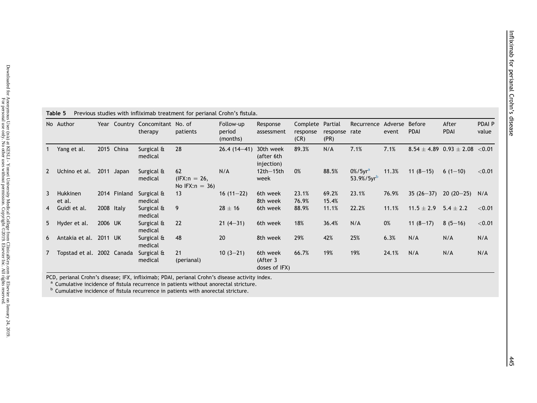|                | No Author                  |         |              | Year Country Concomitant No. of<br>therapy | patients                                    | Follow-up<br>period<br>(months) | Response<br>assessment                 | Complete<br>response<br>(CR) | Partial<br>response rate<br>(PR) | Recurrence                                          | Adverse<br>event | Before<br><b>PDAI</b> | After<br><b>PDAI</b>                   | <b>PDAI P</b><br>value |
|----------------|----------------------------|---------|--------------|--------------------------------------------|---------------------------------------------|---------------------------------|----------------------------------------|------------------------------|----------------------------------|-----------------------------------------------------|------------------|-----------------------|----------------------------------------|------------------------|
|                | Yang et al.                |         | 2015 China   | Surgical &<br>medical                      | 28                                          | $26.4(14-41)$                   | 30th week<br>(after 6th<br>injection)  | 89.3%                        | N/A                              | 7.1%                                                | 7.1%             |                       | $8.54 \pm 4.89$ $0.93 \pm 2.08$ < 0.01 |                        |
| 2              | Uchino et al.              |         | 2011 Japan   | Surgical &<br>medical                      | 62<br>$(IFX: n = 26,$<br>No IFX: $n = 36$ ) | N/A                             | $12th-15th$<br>week                    | 0%                           | 88.5%                            | $0\%$ /5yr $^{\rm a}$<br>$53.9\%/5$ <sub>Vr</sub> b | 11.3%            | $11(8-15)$            | $6(1-10)$                              | ${<}0.01$              |
| 3              | Hukkinen<br>et al.         |         | 2014 Finland | Surgical &<br>medical                      | 13                                          | $16(11-22)$                     | 6th week<br>8th week                   | 23.1%<br>76.9%               | 69.2%<br>15.4%                   | 23.1%                                               | 76.9%            | $35(26-37)$           | $20(20-25)$                            | N/A                    |
| $\overline{4}$ | Guidi et al.               |         | 2008 Italy   | Surgical &<br>medical                      | 9                                           | $28 \pm 16$                     | 6th week                               | 88.9%                        | 11.1%                            | 22.2%                                               | 11.1%            | $11.5 \pm 2.9$        | $5.4 \pm 2.2$                          | $<$ 0.01               |
| 5 <sup>1</sup> | Hyder et al.               | 2006 UK |              | Surgical &<br>medical                      | 22                                          | $21(4-31)$                      | 6th week                               | 18%                          | 36.4%                            | N/A                                                 | 0%               | $11(8-17)$            | $8(5-16)$                              | < 0.01                 |
| 6              | Antakia et al. 2011 UK     |         |              | Surgical &<br>medical                      | 48                                          | 20                              | 8th week                               | 29%                          | 42%                              | 25%                                                 | 6.3%             | N/A                   | N/A                                    | N/A                    |
|                | Topstad et al. 2002 Canada |         |              | Surgical &<br>medical                      | 21<br>(perianal)                            | $10(3-21)$                      | 6th week<br>(After 3)<br>doses of IFX) | 66.7%                        | 19%                              | 19%                                                 | 24.1%            | N/A                   | N/A                                    | N/A                    |

<span id="page-7-0"></span>**College** 

PCD, perianal Crohn's disease; IFX, infliximab; PDAI, perianal Crohn's disease activity index.

 $^{\rm a}$  Cumulative incidence of fistula recurrence in patients without anorectal stricture.

 $^{\text{b}}$  Cumulative incidence of fistula recurrence in patients with anorectal stricture.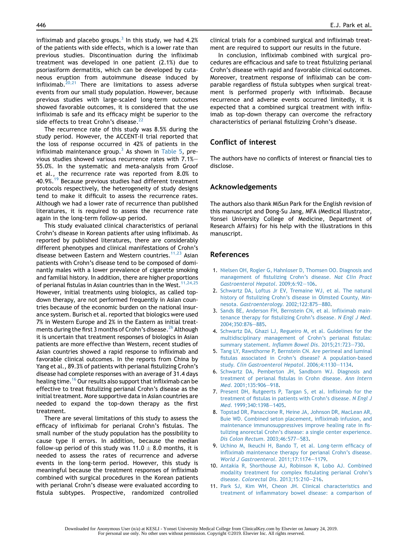<span id="page-8-0"></span>infliximab and placebo groups.<sup>3</sup> In this study, we had  $4.2\%$ of the patients with side effects, which is a lower rate than previous studies. Discontinuation during the infliximab treatment was developed in one patient (2.1%) due to psoriasiform dermatitis, which can be developed by cutaneous eruption from autoimmune disease induced by infliximab. $20,21$  There are limitations to assess adverse events from our small study population. However, because previous studies with large-scaled long-term outcomes showed favorable outcomes, it is considered that the use infliximab is safe and its efficacy might be superior to the side effects to treat Crohn's disease.

The recurrence rate of this study was 8.5% during the study period. However, the ACCENT-II trial reported that the loss of response occurred in 42% of patients in the infliximab maintenance group.<sup>3</sup> As shown in [Table 5](#page-7-0), previous studies showed various recurrence rates with  $7.1%$ -55.0%. In the systematic and meta-analysis from Groof et al., the recurrence rate was reported from 8.0% to 40.9%.[19](#page-9-0) Because previous studies had different treatment protocols respectively, the heterogeneity of study designs tend to make it difficult to assess the recurrence rates. Although we had a lower rate of recurrence than published literatures, it is required to assess the recurrence rate again in the long-term follow-up period.

This study evaluated clinical characteristics of perianal Crohn's disease in Korean patients after using infliximab. As reported by published literatures, there are considerably different phenotypes and clinical manifestations of Crohn's disease between Eastern and Western countries.<sup>11,23</sup> Asian patients with Crohn's disease tend to be composed of dominantly males with a lower prevalence of cigarette smoking and familial history. In addition, there are higher proportions of perianal fistulas in Asian countries than in the West.  $11,24,25$ However, initial treatments using biologics, as called topdown therapy, are not performed frequently in Asian countries because of the economic burden on the national insurance system. Burisch et al. reported that biologics were used 7% in Western Europe and 2% in the Eastern as initial treatments during the first 3 months of Crohn's disease.<sup>26</sup> Although it is uncertain that treatment responses of biologics in Asian patients are more effective than Western, recent studies of Asian countries showed a rapid response to infliximab and favorable clinical outcomes. In the reports from China by Yang et al., 89.3% of patients with perianal fistulizing Crohn's disease had complete responses with an average of 31.4 days healing time.<sup>[16](#page-9-0)</sup> Our results also support that infliximab can be effective to treat fistulizing perianal Crohn's disease as the initial treatment. More supportive data in Asian countries are needed to expand the top-down therapy as the first treatment.

There are several limitations of this study to assess the efficacy of infliximab for perianal Crohn's fistulas. The small number of the study population has the possibility to cause type II errors. In addition, because the median follow-up period of this study was 11.0  $\pm$  8.0 months, it is needed to assess the rates of recurrence and adverse events in the long-term period. However, this study is meaningful because the treatment responses of infliximab combined with surgical procedures in the Korean patients with perianal Crohn's disease were evaluated according to fistula subtypes. Prospective, randomized controlled clinical trials for a combined surgical and infliximab treatment are required to support our results in the future.

In conclusion, infliximab combined with surgical procedures are efficacious and safe to treat fistulizing perianal Crohn's disease with rapid and favorable clinical outcomes. Moreover, treatment response of infliximab can be comparable regardless of fistula subtypes when surgical treatment is performed properly with infliximab. Because recurrence and adverse events occurred limitedly, it is expected that a combined surgical treatment with infliximab as top-down therapy can overcome the refractory characteristics of perianal fistulizing Crohn's disease.

# Conflict of interest

The authors have no conflicts of interest or financial ties to disclose.

# Acknowledgements

The authors also thank MiSun Park for the English revision of this manuscript and Dong-Su Jang, MFA (Medical Illustrator, Yonsei University College of Medicine, Department of Research Affairs) for his help with the illustrations in this manuscript.

# References

- 1. [Nielsen OH, Rogler G, Hahnloser D, Thomsen OO. Diagnosis and](http://refhub.elsevier.com/S1015-9584(17)30130-6/sref1) [management of fistulizing Crohn's disease.](http://refhub.elsevier.com/S1015-9584(17)30130-6/sref1) Nat Clin Pract [Gastroenterol Hepatol](http://refhub.elsevier.com/S1015-9584(17)30130-6/sref1). 2009;6:92-[106.](http://refhub.elsevier.com/S1015-9584(17)30130-6/sref1)
- 2. [Schwartz DA, Loftus Jr EV, Tremaine WJ, et al. The natural](http://refhub.elsevier.com/S1015-9584(17)30130-6/sref2) [history of fistulizing Crohn's disease in Olmsted County, Min-](http://refhub.elsevier.com/S1015-9584(17)30130-6/sref2)nesota. [Gastroenterology](http://refhub.elsevier.com/S1015-9584(17)30130-6/sref2). 2002;122:875-[880](http://refhub.elsevier.com/S1015-9584(17)30130-6/sref2).
- 3. [Sands BE, Anderson FH, Bernstein CN, et al. Infliximab main](http://refhub.elsevier.com/S1015-9584(17)30130-6/sref3)[tenance therapy for fistulizing Crohn's disease.](http://refhub.elsevier.com/S1015-9584(17)30130-6/sref3) N Engl J Med. 2004:350:876-[885](http://refhub.elsevier.com/S1015-9584(17)30130-6/sref3).
- 4. [Schwartz DA, Ghazi LJ, Regueiro M, et al. Guidelines for the](http://refhub.elsevier.com/S1015-9584(17)30130-6/sref4) [multidisciplinary management of Crohn's perianal fistulas:](http://refhub.elsevier.com/S1015-9584(17)30130-6/sref4) [summary statement.](http://refhub.elsevier.com/S1015-9584(17)30130-6/sref4) Inflamm Bowel Dis. 2015;21:723-[730.](http://refhub.elsevier.com/S1015-9584(17)30130-6/sref4)
- 5. [Tang LY, Rawsthorne P, Bernstein CN. Are perineal and luminal](http://refhub.elsevier.com/S1015-9584(17)30130-6/sref5) [fistulas associated in Crohn's disease? A population-based](http://refhub.elsevier.com/S1015-9584(17)30130-6/sref5) study. [Clin Gastroenterol Hepatol](http://refhub.elsevier.com/S1015-9584(17)30130-6/sref5). 2006;4:1130-[1134](http://refhub.elsevier.com/S1015-9584(17)30130-6/sref5).
- 6. [Schwartz DA, Pemberton JH, Sandborn WJ. Diagnosis and](http://refhub.elsevier.com/S1015-9584(17)30130-6/sref6) [treatment of perianal fistulas in Crohn disease.](http://refhub.elsevier.com/S1015-9584(17)30130-6/sref6) Ann Intern Med[. 2001;135:906](http://refhub.elsevier.com/S1015-9584(17)30130-6/sref6)-[918.](http://refhub.elsevier.com/S1015-9584(17)30130-6/sref6)
- 7. [Present DH, Rutgeerts P, Targan S, et al. Infliximab for the](http://refhub.elsevier.com/S1015-9584(17)30130-6/sref7) [treatment of fistulas in patients with Crohn's disease.](http://refhub.elsevier.com/S1015-9584(17)30130-6/sref7) N Engl J Med[. 1999;340:1398](http://refhub.elsevier.com/S1015-9584(17)30130-6/sref7)-[1405](http://refhub.elsevier.com/S1015-9584(17)30130-6/sref7).
- 8. [Topstad DR, Panaccione R, Heine JA, Johnson DR, MacLean AR,](http://refhub.elsevier.com/S1015-9584(17)30130-6/sref8) [Buie WD. Combined seton placement, infliximab infusion, and](http://refhub.elsevier.com/S1015-9584(17)30130-6/sref8) [maintenance immunosuppressives improve healing rate in fis](http://refhub.elsevier.com/S1015-9584(17)30130-6/sref8)[tulizing anorectal Crohn's disease: a single center experience.](http://refhub.elsevier.com/S1015-9584(17)30130-6/sref8) [Dis Colon Rectum](http://refhub.elsevier.com/S1015-9584(17)30130-6/sref8). 2003;46:577-[583](http://refhub.elsevier.com/S1015-9584(17)30130-6/sref8).
- 9. [Uchino M, Ikeuchi H, Bando T, et al. Long-term efficacy of](http://refhub.elsevier.com/S1015-9584(17)30130-6/sref9) [infliximab maintenance therapy for perianal Crohn's disease.](http://refhub.elsevier.com/S1015-9584(17)30130-6/sref9) [World J Gastroenterol](http://refhub.elsevier.com/S1015-9584(17)30130-6/sref9). 2011;17:1174-[1179.](http://refhub.elsevier.com/S1015-9584(17)30130-6/sref9)
- 10. [Antakia R, Shorthouse AJ, Robinson K, Lobo AJ. Combined](http://refhub.elsevier.com/S1015-9584(17)30130-6/sref10) [modality treatment for complex fistulating perianal Crohn's](http://refhub.elsevier.com/S1015-9584(17)30130-6/sref10) disease. [Colorectal Dis](http://refhub.elsevier.com/S1015-9584(17)30130-6/sref10). 2013;15:210-[216](http://refhub.elsevier.com/S1015-9584(17)30130-6/sref10).
- 11. [Park SJ, Kim WH, Cheon JH. Clinical characteristics and](http://refhub.elsevier.com/S1015-9584(17)30130-6/sref11) [treatment of inflammatory bowel disease: a comparison of](http://refhub.elsevier.com/S1015-9584(17)30130-6/sref11)